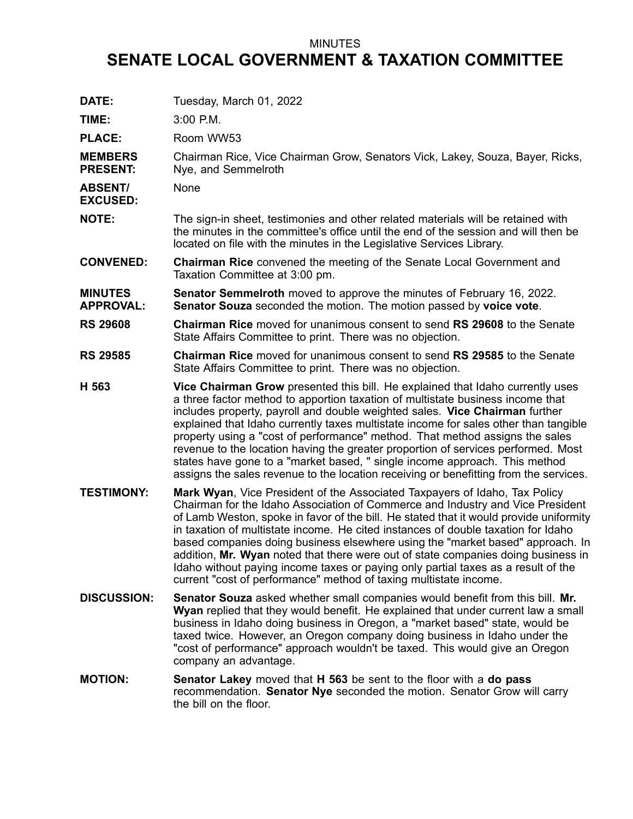## MINUTES

## **SENATE LOCAL GOVERNMENT & TAXATION COMMITTEE**

| DATE:                              | Tuesday, March 01, 2022                                                                                                                                                                                                                                                                                                                                                                                                                                                                                                                                                                                                                                                             |
|------------------------------------|-------------------------------------------------------------------------------------------------------------------------------------------------------------------------------------------------------------------------------------------------------------------------------------------------------------------------------------------------------------------------------------------------------------------------------------------------------------------------------------------------------------------------------------------------------------------------------------------------------------------------------------------------------------------------------------|
| TIME:                              | 3:00 P.M.                                                                                                                                                                                                                                                                                                                                                                                                                                                                                                                                                                                                                                                                           |
| <b>PLACE:</b>                      | Room WW53                                                                                                                                                                                                                                                                                                                                                                                                                                                                                                                                                                                                                                                                           |
| <b>MEMBERS</b><br><b>PRESENT:</b>  | Chairman Rice, Vice Chairman Grow, Senators Vick, Lakey, Souza, Bayer, Ricks,<br>Nye, and Semmelroth                                                                                                                                                                                                                                                                                                                                                                                                                                                                                                                                                                                |
| <b>ABSENT/</b><br><b>EXCUSED:</b>  | None                                                                                                                                                                                                                                                                                                                                                                                                                                                                                                                                                                                                                                                                                |
| <b>NOTE:</b>                       | The sign-in sheet, testimonies and other related materials will be retained with<br>the minutes in the committee's office until the end of the session and will then be<br>located on file with the minutes in the Legislative Services Library.                                                                                                                                                                                                                                                                                                                                                                                                                                    |
| <b>CONVENED:</b>                   | <b>Chairman Rice</b> convened the meeting of the Senate Local Government and<br>Taxation Committee at 3:00 pm.                                                                                                                                                                                                                                                                                                                                                                                                                                                                                                                                                                      |
| <b>MINUTES</b><br><b>APPROVAL:</b> | <b>Senator Semmelroth</b> moved to approve the minutes of February 16, 2022.<br>Senator Souza seconded the motion. The motion passed by voice vote.                                                                                                                                                                                                                                                                                                                                                                                                                                                                                                                                 |
| <b>RS 29608</b>                    | <b>Chairman Rice</b> moved for unanimous consent to send RS 29608 to the Senate<br>State Affairs Committee to print. There was no objection.                                                                                                                                                                                                                                                                                                                                                                                                                                                                                                                                        |
| <b>RS 29585</b>                    | <b>Chairman Rice</b> moved for unanimous consent to send RS 29585 to the Senate<br>State Affairs Committee to print. There was no objection.                                                                                                                                                                                                                                                                                                                                                                                                                                                                                                                                        |
| H 563                              | Vice Chairman Grow presented this bill. He explained that Idaho currently uses<br>a three factor method to apportion taxation of multistate business income that<br>includes property, payroll and double weighted sales. Vice Chairman further<br>explained that Idaho currently taxes multistate income for sales other than tangible<br>property using a "cost of performance" method. That method assigns the sales<br>revenue to the location having the greater proportion of services performed. Most<br>states have gone to a "market based, " single income approach. This method<br>assigns the sales revenue to the location receiving or benefitting from the services. |
| <b>TESTIMONY:</b>                  | <b>Mark Wyan, Vice President of the Associated Taxpayers of Idaho, Tax Policy</b><br>Chairman for the Idaho Association of Commerce and Industry and Vice President<br>of Lamb Weston, spoke in favor of the bill. He stated that it would provide uniformity<br>in taxation of multistate income. He cited instances of double taxation for Idaho<br>based companies doing business elsewhere using the "market based" approach. In<br>addition, Mr. Wyan noted that there were out of state companies doing business in<br>Idaho without paying income taxes or paying only partial taxes as a result of the<br>current "cost of performance" method of taxing multistate income. |
| <b>DISCUSSION:</b>                 | <b>Senator Souza</b> asked whether small companies would benefit from this bill. Mr.<br>Wyan replied that they would benefit. He explained that under current law a small<br>business in Idaho doing business in Oregon, a "market based" state, would be<br>taxed twice. However, an Oregon company doing business in Idaho under the<br>"cost of performance" approach wouldn't be taxed. This would give an Oregon<br>company an advantage.                                                                                                                                                                                                                                      |
| <b>MOTION:</b>                     | <b>Senator Lakey</b> moved that H 563 be sent to the floor with a do pass<br>recommendation. Senator Nye seconded the motion. Senator Grow will carry<br>the bill on the floor.                                                                                                                                                                                                                                                                                                                                                                                                                                                                                                     |